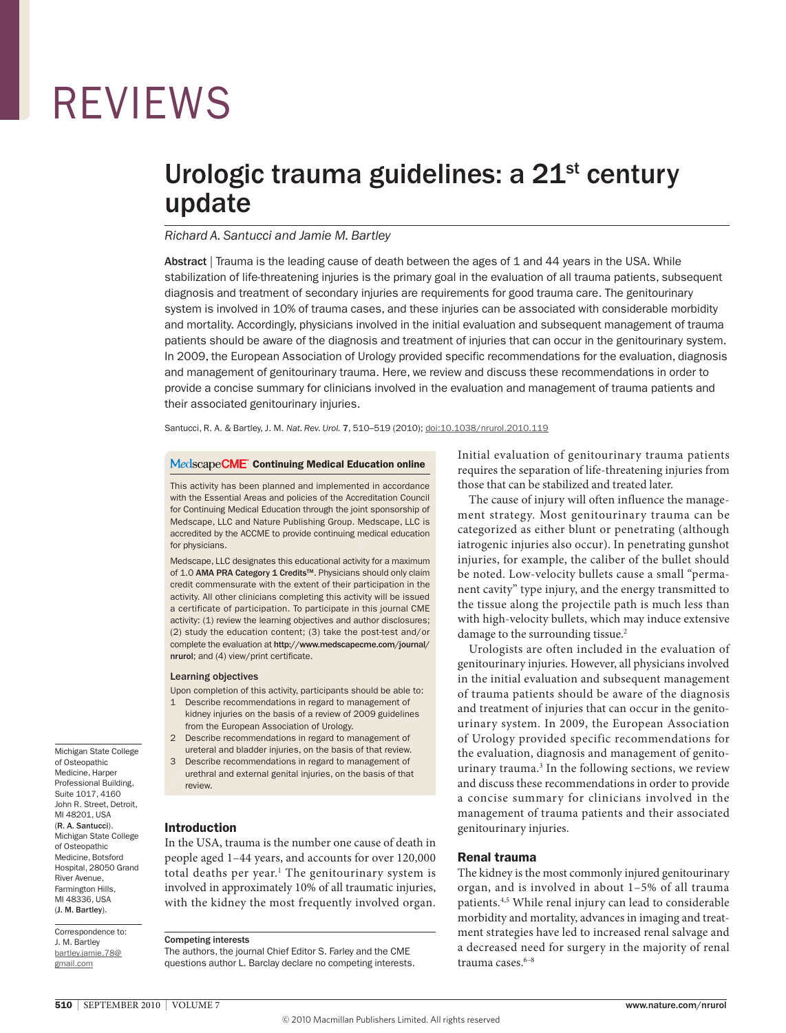# REvIEWS

## Urologic trauma guidelines: a 21<sup>st</sup> century update

#### *Richard A. Santucci and Jamie M. Bartley*

Abstract | Trauma is the leading cause of death between the ages of 1 and 44 years in the USA. While stabilization of life-threatening injuries is the primary goal in the evaluation of all trauma patients, subsequent diagnosis and treatment of secondary injuries are requirements for good trauma care. The genitourinary system is involved in 10% of trauma cases, and these injuries can be associated with considerable morbidity and mortality. Accordingly, physicians involved in the initial evaluation and subsequent management of trauma patients should be aware of the diagnosis and treatment of injuries that can occur in the genitourinary system. In 2009, the European Association of Urology provided specific recommendations for the evaluation, diagnosis and management of genitourinary trauma. Here, we review and discuss these recommendations in order to provide a concise summary for clinicians involved in the evaluation and management of trauma patients and their associated genitourinary injuries.

Santucci, R. A. & Bartley, J. M. *Nat. Rev. Urol.* 7, 510–519 (2010); [doi:10.1038/nrurol.2010.119](http://www.nature.com/doifinder/10.1038/nrurol.2010.119)

#### Medscape CME Continuing Medical Education online

This activity has been planned and implemented in accordance with the Essential Areas and policies of the Accreditation Council for Continuing Medical Education through the joint sponsorship of Medscape, LLC and Nature Publishing Group. Medscape, LLC is accredited by the ACCME to provide continuing medical education for physicians.

Medscape, LLC designates this educational activity for a maximum of 1.0 AMA PRA Category 1 Credits<sup>™</sup>. Physicians should only claim credit commensurate with the extent of their participation in the activity. All other clinicians completing this activity will be issued a certificate of participation. To participate in this journal CME activity: (1) review the learning objectives and author disclosures; (2) study the education content; (3) take the post-test and/or complete the evaluation at [http://www.medscapecme.com/journal/](http://www.medscapecme.com/journal/nrurol) [nrurol](http://www.medscapecme.com/journal/nrurol); and (4) view/print certificate.

#### Learning objectives

Upon completion of this activity, participants should be able to:

- 1 Describe recommendations in regard to management of kidney injuries on the basis of a review of 2009 guidelines
- from the European Association of Urology. 2 Describe recommendations in regard to management of ureteral and bladder injuries, on the basis of that review.
- 3 Describe recommendations in regard to management of urethral and external genital injuries, on the basis of that review.

#### Introduction

In the USA, trauma is the number one cause of death in people aged 1–44 years, and accounts for over 120,000 total deaths per year.<sup>1</sup> The genitourinary system is involved in approximately 10% of all traumatic injuries, with the kidney the most frequently involved organ.

#### Competing interests

The authors, the journal Chief Editor S. Farley and the CME questions author L. Barclay declare no competing interests. Initial evaluation of genitourinary trauma patients requires the separation of life-threatening injuries from those that can be stabilized and treated later.

The cause of injury will often influence the management strategy. Most genitourinary trauma can be categorized as either blunt or penetrating (although iatrogenic injuries also occur). In penetrating gunshot injuries, for example, the caliber of the bullet should be noted. Low-velocity bullets cause a small "permanent cavity" type injury, and the energy transmitted to the tissue along the projectile path is much less than with high-velocity bullets, which may induce extensive damage to the surrounding tissue.<sup>2</sup>

Urologists are often included in the evaluation of genitourinary injuries. However, all physicians involved in the initial evaluation and subsequent management of trauma patients should be aware of the diagnosis and treatment of injuries that can occur in the genitourinary system. In 2009, the European Association of Urology provided specific recommendations for the evaluation, diagnosis and management of genitourinary trauma.<sup>3</sup> In the following sections, we review and discuss these recommendations in order to provide a concise summary for clinicians involved in the management of trauma patients and their associated genitourinary injuries.

#### Renal trauma

The kidney is the most commonly injured genitourinary organ, and is involved in about 1–5% of all trauma patients.4,5 While renal injury can lead to considerable morbidity and mortality, advances in imaging and treatment strategies have led to increased renal salvage and a decreased need for surgery in the majority of renal trauma cases.<sup>6-8</sup>

Michigan State College of Osteopathic Medicine, Harper Professional Building, Suite 1017, 4160 John R. Street, Detroit, MI 48201, USA (R. A. Santucci). Michigan State College of Osteopathic Medicine, Botsford Hospital, 28050 Grand River Avenue, Farmington Hills, MI 48336, USA (J. M. Bartley).

Correspondence to: J. M. Bartley [bartley.jamie.78@](mailto:bartley.jamie.78@gmail.com) [gmail.com](mailto:bartley.jamie.78@gmail.com)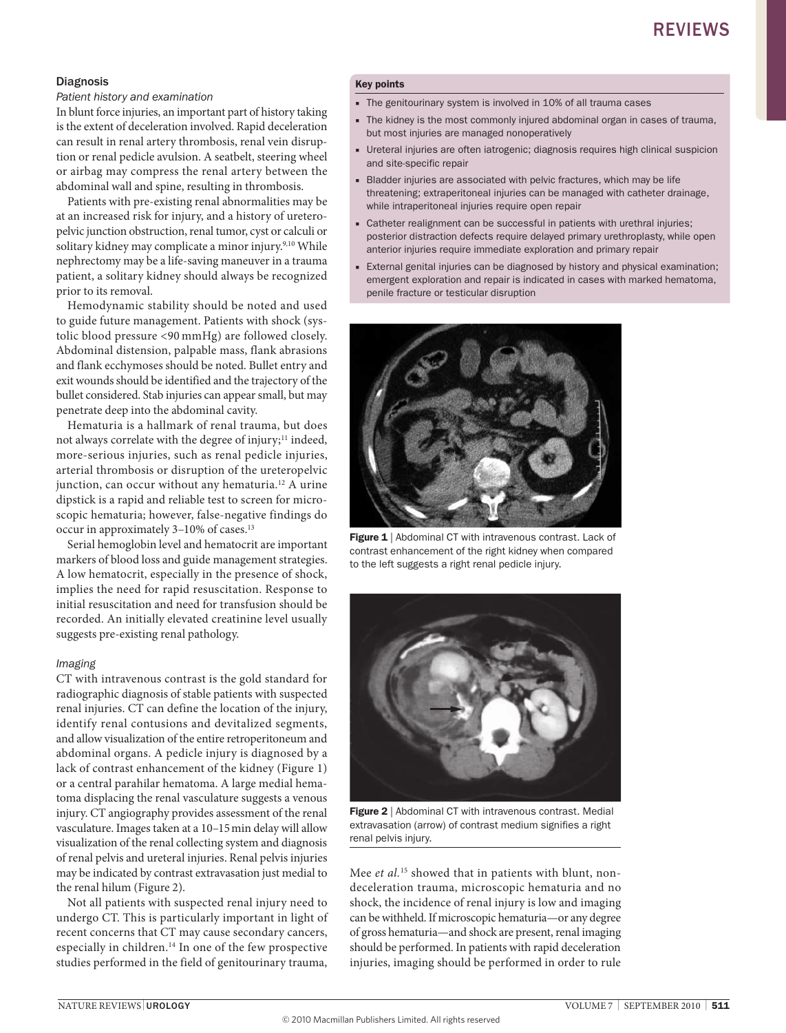#### Diagnosis

#### *Patient history and examination*

In blunt force injuries, an important part of history taking is the extent of deceleration involved. Rapid deceleration can result in renal artery thrombosis, renal vein disruption or renal pedicle avulsion. A seatbelt, steering wheel or airbag may compress the renal artery between the abdominal wall and spine, resulting in thrombosis.

Patients with pre-existing renal abnormalities may be at an increased risk for injury, and a history of ureteropelvic junction obstruction, renal tumor, cyst or calculi or solitary kidney may complicate a minor injury.<sup>9,10</sup> While nephrectomy may be a life-saving maneuver in a trauma patient, a solitary kidney should always be recognized prior to its removal.

Hemodynamic stability should be noted and used to guide future management. Patients with shock (systolic blood pressure <90 mmHg) are followed closely. Abdominal distension, palpable mass, flank abrasions and flank ecchymoses should be noted. Bullet entry and exit wounds should be identified and the trajectory of the bullet considered. Stab injuries can appear small, but may penetrate deep into the abdominal cavity.

Hematuria is a hallmark of renal trauma, but does not always correlate with the degree of injury;<sup>11</sup> indeed, more-serious injuries, such as renal pedicle injuries, arterial thrombosis or disruption of the ureteropelvic junction, can occur without any hematuria.<sup>12</sup> A urine dipstick is a rapid and reliable test to screen for microscopic hematuria; however, false-negative findings do occur in approximately 3–10% of cases.13

Serial hemoglobin level and hematocrit are important markers of blood loss and guide management strategies. A low hematocrit, especially in the presence of shock, implies the need for rapid resuscitation. Response to initial resuscitation and need for transfusion should be recorded. An initially elevated creatinine level usually suggests pre-existing renal pathology.

#### *Imaging*

CT with intravenous contrast is the gold standard for radiographic diagnosis of stable patients with suspected renal injuries. CT can define the location of the injury, identify renal contusions and devitalized segments, and allow visualization of the entire retroperitoneum and abdominal organs. A pedicle injury is diagnosed by a lack of contrast enhancement of the kidney (Figure 1) or a central parahilar hematoma. A large medial hematoma displacing the renal vasculature suggests a venous injury. CT angiography provides assessment of the renal vasculature. Images taken at a 10–15min delay will allow visualization of the renal collecting system and diagnosis of renal pelvis and ureteral injuries. Renal pelvis injuries may be indicated by contrast extravasation just medial to the renal hilum (Figure 2).

Not all patients with suspected renal injury need to undergo CT. This is particularly important in light of recent concerns that CT may cause secondary cancers, especially in children.14 In one of the few prospective studies performed in the field of genitourinary trauma,

#### Key points

- The genitourinary system is involved in 10% of all trauma cases
- The kidney is the most commonly injured abdominal organ in cases of trauma, but most injuries are managed nonoperatively
- Ureteral injuries are often iatrogenic; diagnosis requires high clinical suspicion and site-specific repair
- Bladder injuries are associated with pelvic fractures, which may be life threatening; extraperitoneal injuries can be managed with catheter drainage, while intraperitoneal injuries require open repair
- Catheter realignment can be successful in patients with urethral injuries; posterior distraction defects require delayed primary urethroplasty, while open anterior injuries require immediate exploration and primary repair
- External genital injuries can be diagnosed by history and physical examination; emergent exploration and repair is indicated in cases with marked hematoma, penile fracture or testicular disruption



Figure 1 | Abdominal CT with intravenous contrast. Lack of contrast enhancement of the right kidney when compared to the left suggests a right renal pedicle injury.



Figure 2 | Abdominal CT with intravenous contrast. Medial extravasation (arrow) of contrast medium signifies a right renal pelvis injury.

Mee *et al.*15 showed that in patients with blunt, nondeceleration trauma, microscopic hematuria and no shock, the incidence of renal injury is low and imaging can be withheld. If microscopic hematuria—or any degree of gross hematuria—and shock are present, renal imaging should be performed. In patients with rapid deceleration injuries, imaging should be performed in order to rule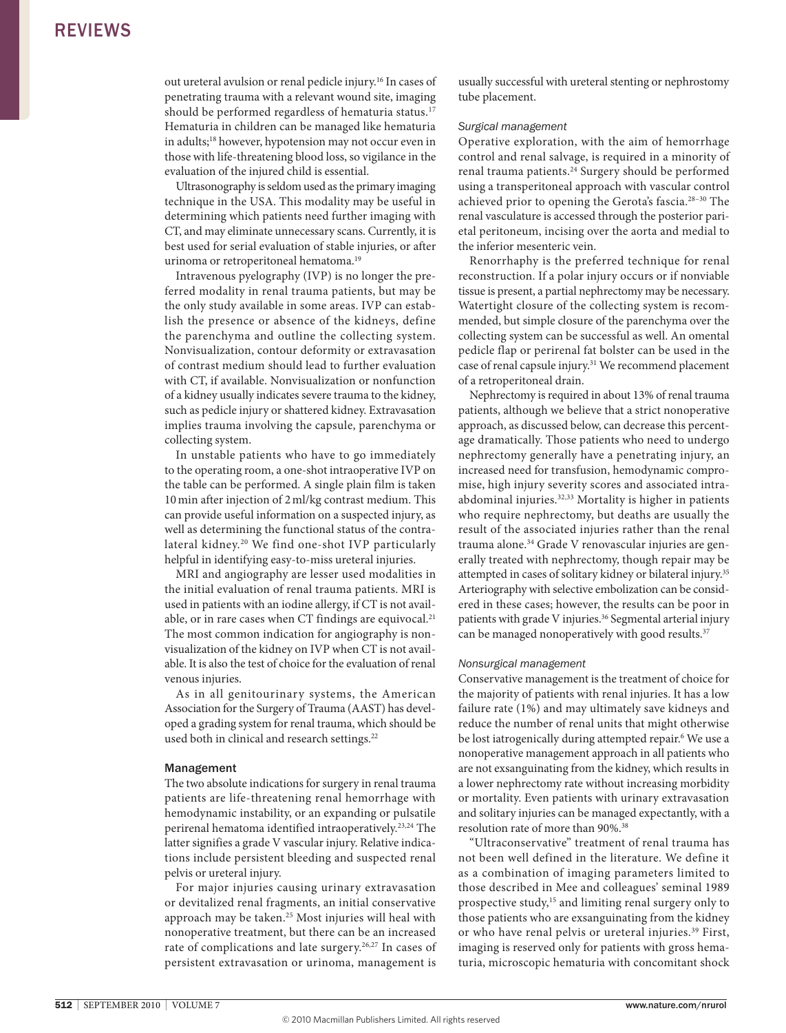out ureteral avulsion or renal pedicle injury.16 In cases of penetrating trauma with a relevant wound site, imaging should be performed regardless of hematuria status.<sup>17</sup> Hematuria in children can be managed like hematuria in adults;<sup>18</sup> however, hypotension may not occur even in those with life-threatening blood loss, so vigilance in the evaluation of the injured child is essential.

Ultrasonography is seldom used as the primary imaging technique in the USA. This modality may be useful in determining which patients need further imaging with CT, and may eliminate unnecessary scans. Currently, it is best used for serial evaluation of stable injuries, or after urinoma or retroperitoneal hematoma.<sup>19</sup>

Intravenous pyelography (IvP) is no longer the preferred modality in renal trauma patients, but may be the only study available in some areas. IvP can establish the presence or absence of the kidneys, define the parenchyma and outline the collecting system. nonvisualization, contour deformity or extravasation of contrast medium should lead to further evaluation with CT, if available. Nonvisualization or nonfunction of a kidney usually indicates severe trauma to the kidney, such as pedicle injury or shattered kidney. Extravasation implies trauma involving the capsule, parenchyma or collecting system.

In unstable patients who have to go immediately to the operating room, a one-shot intraoperative IvP on the table can be performed. A single plain film is taken 10min after injection of 2ml/kg contrast medium. This can provide useful information on a suspected injury, as well as determining the functional status of the contralateral kidney.20 We find one-shot IvP particularly helpful in identifying easy-to-miss ureteral injuries.

MRI and angiography are lesser used modalities in the initial evaluation of renal trauma patients. MRI is used in patients with an iodine allergy, if CT is not available, or in rare cases when CT findings are equivocal.<sup>21</sup> The most common indication for angiography is nonvisualization of the kidney on IvP when CT is not available. It is also the test of choice for the evaluation of renal venous injuries.

As in all genitourinary systems, the American Association for the Surgery of Trauma (AAST) has developed a grading system for renal trauma, which should be used both in clinical and research settings.<sup>22</sup>

#### Management

The two absolute indications for surgery in renal trauma patients are life-threatening renal hemorrhage with hemodynamic instability, or an expanding or pulsatile perirenal hematoma identified intraoperatively.23,24 The latter signifies a grade V vascular injury. Relative indications include persistent bleeding and suspected renal pelvis or ureteral injury.

For major injuries causing urinary extravasation or devitalized renal fragments, an initial conservative approach may be taken.<sup>25</sup> Most injuries will heal with nonoperative treatment, but there can be an increased rate of complications and late surgery.<sup>26,27</sup> In cases of persistent extravasation or urinoma, management is usually successful with ureteral stenting or nephrostomy tube placement.

#### *Surgical management*

operative exploration, with the aim of hemorrhage control and renal salvage, is required in a minority of renal trauma patients.24 Surgery should be performed using a transperitoneal approach with vascular control achieved prior to opening the Gerota's fascia.<sup>28-30</sup> The renal vasculature is accessed through the posterior parietal peritoneum, incising over the aorta and medial to the inferior mesenteric vein.

Renorrhaphy is the preferred technique for renal reconstruction. If a polar injury occurs or if nonviable tissue is present, a partial nephrectomy may be necessary. Watertight closure of the collecting system is recommended, but simple closure of the parenchyma over the collecting system can be successful as well. An omental pedicle flap or perirenal fat bolster can be used in the case of renal capsule injury.<sup>31</sup> We recommend placement of a retroperitoneal drain.

Nephrectomy is required in about 13% of renal trauma patients, although we believe that a strict nonoperative approach, as discussed below, can decrease this percentage dramatically. Those patients who need to undergo nephrectomy generally have a penetrating injury, an increased need for transfusion, hemodynamic compromise, high injury severity scores and associated intraabdominal injuries.<sup>32,33</sup> Mortality is higher in patients who require nephrectomy, but deaths are usually the result of the associated injuries rather than the renal trauma alone.<sup>34</sup> Grade V renovascular injuries are generally treated with nephrectomy, though repair may be attempted in cases of solitary kidney or bilateral injury.35 Arteriography with selective embolization can be considered in these cases; however, the results can be poor in patients with grade V injuries.<sup>36</sup> Segmental arterial injury can be managed nonoperatively with good results.<sup>37</sup>

#### *Nonsurgical management*

Conservative management is the treatment of choice for the majority of patients with renal injuries. It has a low failure rate (1%) and may ultimately save kidneys and reduce the number of renal units that might otherwise be lost iatrogenically during attempted repair.6 We use a nonoperative management approach in all patients who are not exsanguinating from the kidney, which results in a lower nephrectomy rate without increasing morbidity or mortality. Even patients with urinary extravasation and solitary injuries can be managed expectantly, with a resolution rate of more than 90%.38

"Ultraconservative" treatment of renal trauma has not been well defined in the literature. We define it as a combination of imaging parameters limited to those described in Mee and colleagues' seminal 1989 prospective study,<sup>15</sup> and limiting renal surgery only to those patients who are exsanguinating from the kidney or who have renal pelvis or ureteral injuries.<sup>39</sup> First, imaging is reserved only for patients with gross hematuria, microscopic hematuria with concomitant shock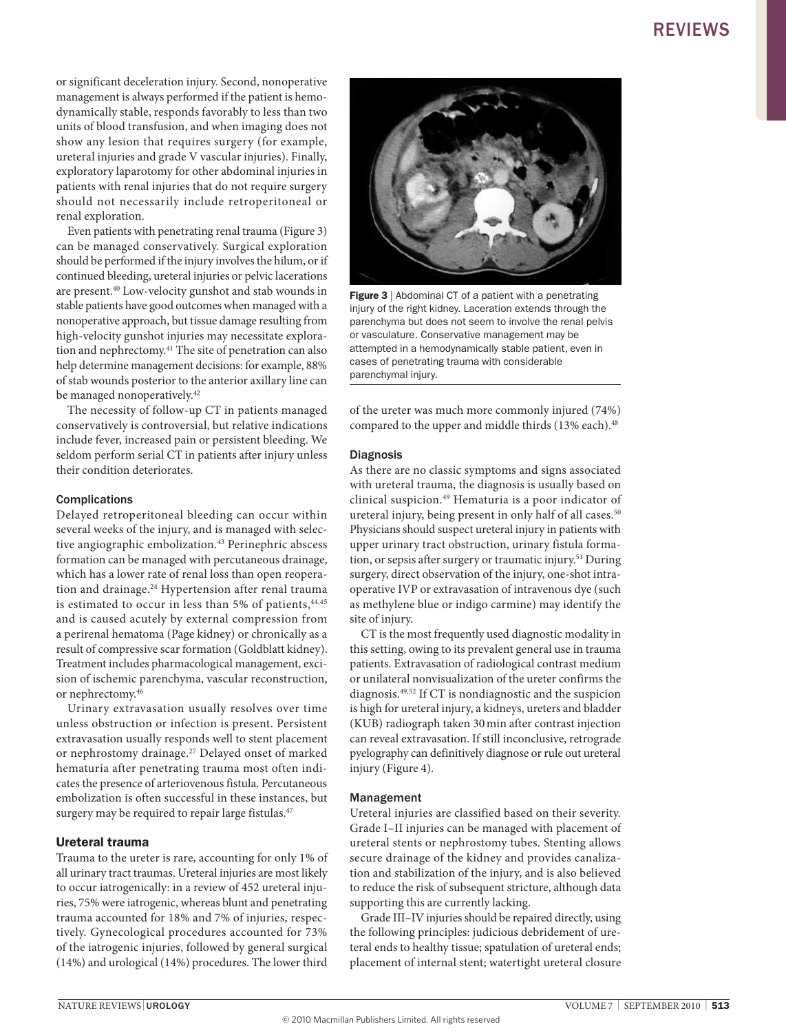or significant deceleration injury. Second, nonoperative management is always performed if the patient is hemodynamically stable, responds favorably to less than two units of blood transfusion, and when imaging does not show any lesion that requires surgery (for example, ureteral injuries and grade v vascular injuries). Finally, exploratory laparotomy for other abdominal injuries in patients with renal injuries that do not require surgery should not necessarily include retroperitoneal or renal exploration.

Even patients with penetrating renal trauma (Figure 3) can be managed conservatively. Surgical exploration should be performed if the injury involves the hilum, or if continued bleeding, ureteral injuries or pelvic lacerations are present.40 Low-velocity gunshot and stab wounds in stable patients have good outcomes when managed with a nonoperative approach, but tissue damage resulting from high-velocity gunshot injuries may necessitate exploration and nephrectomy.41 The site of penetration can also help determine management decisions: for example, 88% of stab wounds posterior to the anterior axillary line can be managed nonoperatively.<sup>42</sup>

The necessity of follow-up CT in patients managed conservatively is controversial, but relative indications include fever, increased pain or persistent bleeding. We seldom perform serial CT in patients after injury unless their condition deteriorates.

#### Complications

Delayed retroperitoneal bleeding can occur within several weeks of the injury, and is managed with selective angiographic embolization.<sup>43</sup> Perinephric abscess formation can be managed with percutaneous drainage, which has a lower rate of renal loss than open reoperation and drainage.<sup>24</sup> Hypertension after renal trauma is estimated to occur in less than 5% of patients,  $44,45$ and is caused acutely by external compression from a perirenal hematoma (Page kidney) or chronically as a result of compressive scar formation (Goldblatt kidney). Treatment includes pharmacological management, excision of ischemic parenchyma, vascular reconstruction, or nephrectomy.46

Urinary extravasation usually resolves over time unless obstruction or infection is present. Persistent extravasation usually responds well to stent placement or nephrostomy drainage.27 Delayed onset of marked hematuria after penetrating trauma most often indicates the presence of arteriovenous fistula. Percutaneous embolization is often successful in these instances, but surgery may be required to repair large fistulas.<sup>47</sup>

#### Ureteral trauma

Trauma to the ureter is rare, accounting for only 1% of all urinary tract traumas. Ureteral injuries are most likely to occur iatrogenically: in a review of 452 ureteral injuries, 75% were iatrogenic, whereas blunt and penetrating trauma accounted for 18% and 7% of injuries, respectively. Gynecological procedures accounted for 73% of the iatrogenic injuries, followed by general surgical (14%) and urological (14%) procedures. The lower third



Figure 3 | Abdominal CT of a patient with a penetrating injury of the right kidney. Laceration extends through the parenchyma but does not seem to involve the renal pelvis or vasculature. Conservative management may be attempted in a hemodynamically stable patient, even in cases of penetrating trauma with considerable parenchymal injury.

of the ureter was much more commonly injured (74%) compared to the upper and middle thirds (13% each).<sup>48</sup>

#### Diagnosis

As there are no classic symptoms and signs associated with ureteral trauma, the diagnosis is usually based on clinical suspicion.49 Hematuria is a poor indicator of ureteral injury, being present in only half of all cases.<sup>50</sup> Physicians should suspect ureteral injury in patients with upper urinary tract obstruction, urinary fistula formation, or sepsis after surgery or traumatic injury.<sup>51</sup> During surgery, direct observation of the injury, one-shot intraoperative IvP or extravasation of intravenous dye (such as methylene blue or indigo carmine) may identify the site of injury.

CT is the most frequently used diagnostic modality in this setting, owing to its prevalent general use in trauma patients. Extravasation of radiological contrast medium or unilateral nonvisualization of the ureter confirms the diagnosis.49,52 If CT is nondiagnostic and the suspicion is high for ureteral injury, a kidneys, ureters and bladder (KUB) radiograph taken 30min after contrast injection can reveal extravasation. If still inconclusive, retrograde pyelography can definitively diagnose or rule out ureteral injury (Figure 4).

#### Management

Ureteral injuries are classified based on their severity. Grade I–II injuries can be managed with placement of ureteral stents or nephrostomy tubes. Stenting allows secure drainage of the kidney and provides canalization and stabilization of the injury, and is also believed to reduce the risk of subsequent stricture, although data supporting this are currently lacking.

Grade III–Iv injuries should be repaired directly, using the following principles: judicious debridement of ureteral ends to healthy tissue; spatulation of ureteral ends; placement of internal stent; watertight ureteral closure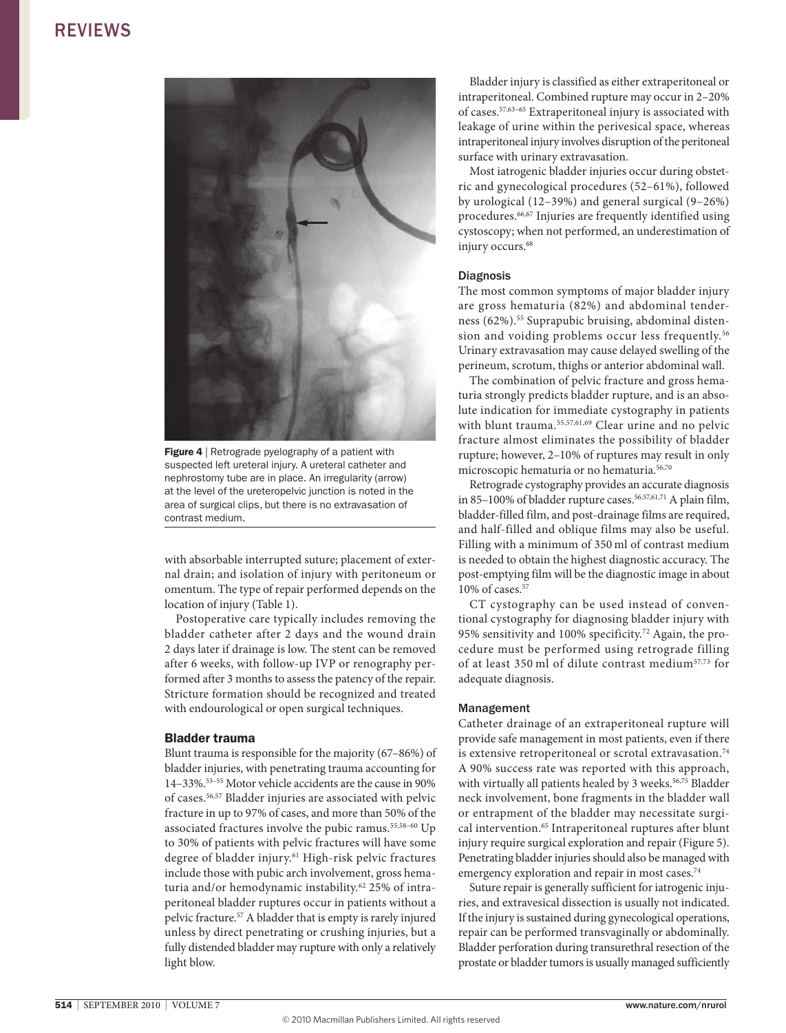

Figure 4 | Retrograde pyelography of a patient with suspected left ureteral injury. A ureteral catheter and nephrostomy tube are in place. An irregularity (arrow) at the level of the ureteropelvic junction is noted in the area of surgical clips, but there is no extravasation of contrast medium.

with absorbable interrupted suture; placement of external drain; and isolation of injury with peritoneum or omentum. The type of repair performed depends on the location of injury (Table 1).

Postoperative care typically includes removing the bladder catheter after 2 days and the wound drain 2 days later if drainage is low. The stent can be removed after 6 weeks, with follow-up IvP or renography performed after 3 months to assess the patency of the repair. Stricture formation should be recognized and treated with endourological or open surgical techniques.

#### Bladder trauma

Blunt trauma is responsible for the majority (67–86%) of bladder injuries, with penetrating trauma accounting for 14–33%.53–55 Motor vehicle accidents are the cause in 90% of cases.56,57 Bladder injuries are associated with pelvic fracture in up to 97% of cases, and more than 50% of the associated fractures involve the pubic ramus.55,58–60 Up to 30% of patients with pelvic fractures will have some degree of bladder injury.<sup>61</sup> High-risk pelvic fractures include those with pubic arch involvement, gross hematuria and/or hemodynamic instability.<sup>62</sup> 25% of intraperitoneal bladder ruptures occur in patients without a pelvic fracture.57 A bladder that is empty is rarely injured unless by direct penetrating or crushing injuries, but a fully distended bladder may rupture with only a relatively light blow.

Bladder injury is classified as either extraperitoneal or intraperitoneal. Combined rupture may occur in 2–20% of cases.57,63–65 Extraperitoneal injury is associated with leakage of urine within the perivesical space, whereas intraperitoneal injury involves disruption of the peritoneal surface with urinary extravasation.

Most iatrogenic bladder injuries occur during obstetric and gynecological procedures (52–61%), followed by urological (12–39%) and general surgical (9–26%) procedures.66,67 Injuries are frequently identified using cystoscopy; when not performed, an underestimation of injury occurs.<sup>68</sup>

#### **Diagnosis**

The most common symptoms of major bladder injury are gross hematuria (82%) and abdominal tenderness (62%).<sup>55</sup> Suprapubic bruising, abdominal distension and voiding problems occur less frequently.<sup>56</sup> Urinary extravasation may cause delayed swelling of the perineum, scrotum, thighs or anterior abdominal wall.

The combination of pelvic fracture and gross hematuria strongly predicts bladder rupture, and is an absolute indication for immediate cystography in patients with blunt trauma.<sup>55,57,61,69</sup> Clear urine and no pelvic fracture almost eliminates the possibility of bladder rupture; however, 2–10% of ruptures may result in only microscopic hematuria or no hematuria.56,70

Retrograde cystography provides an accurate diagnosis in 85-100% of bladder rupture cases.<sup>56,57,61,71</sup> A plain film, bladder-filled film, and post-drainage films are required, and half-filled and oblique films may also be useful. Filling with a minimum of 350 ml of contrast medium is needed to obtain the highest diagnostic accuracy. The post-emptying film will be the diagnostic image in about 10% of cases.57

CT cystography can be used instead of conventional cystography for diagnosing bladder injury with 95% sensitivity and 100% specificity.72 Again, the procedure must be performed using retrograde filling of at least 350 ml of dilute contrast medium57,73 for adequate diagnosis.

#### Management

Catheter drainage of an extraperitoneal rupture will provide safe management in most patients, even if there is extensive retroperitoneal or scrotal extravasation.<sup>74</sup> A 90% success rate was reported with this approach, with virtually all patients healed by 3 weeks.<sup>56,75</sup> Bladder neck involvement, bone fragments in the bladder wall or entrapment of the bladder may necessitate surgical intervention.65 Intraperitoneal ruptures after blunt injury require surgical exploration and repair (Figure 5). Penetrating bladder injuries should also be managed with emergency exploration and repair in most cases.<sup>74</sup>

Suture repair is generally sufficient for iatrogenic injuries, and extravesical dissection is usually not indicated. If the injury is sustained during gynecological operations, repair can be performed transvaginally or abdominally. Bladder perforation during transurethral resection of the prostate or bladder tumors is usually managed sufficiently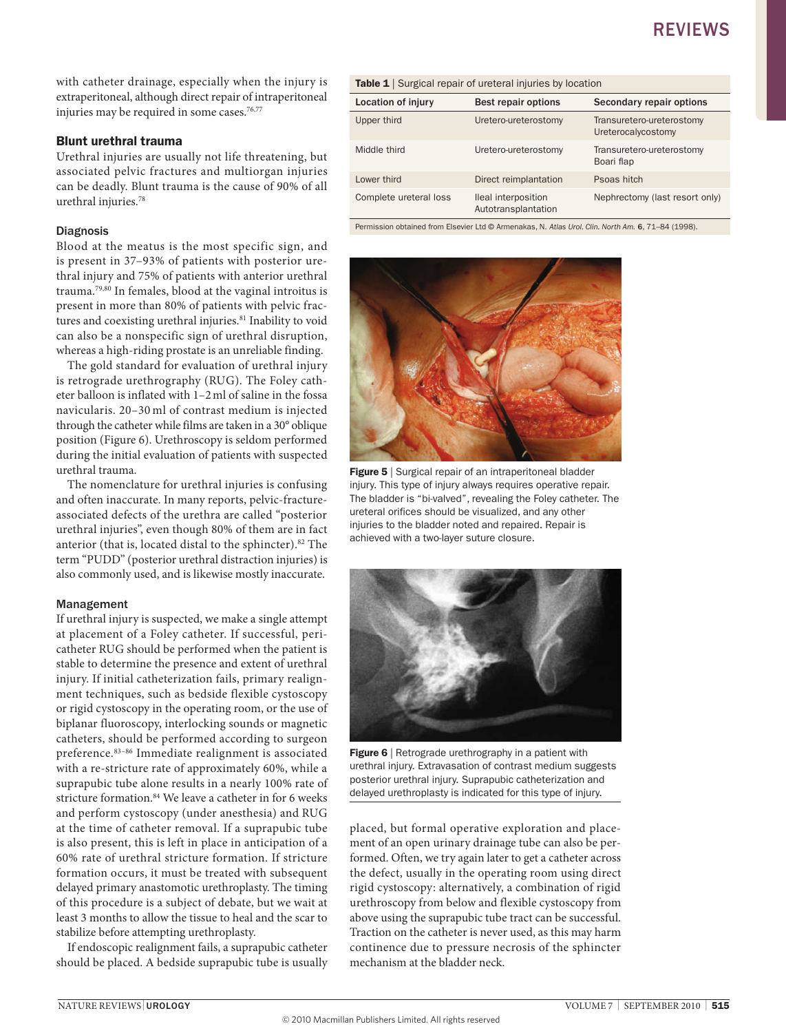with catheter drainage, especially when the injury is extraperitoneal, although direct repair of intraperitoneal injuries may be required in some cases.<sup>76,77</sup>

#### Blunt urethral trauma

Urethral injuries are usually not life threatening, but associated pelvic fractures and multiorgan injuries can be deadly. Blunt trauma is the cause of 90% of all urethral injuries.78

#### Diagnosis

Blood at the meatus is the most specific sign, and is present in 37–93% of patients with posterior urethral injury and 75% of patients with anterior urethral trauma.79,80 In females, blood at the vaginal introitus is present in more than 80% of patients with pelvic fractures and coexisting urethral injuries.<sup>81</sup> Inability to void can also be a nonspecific sign of urethral disruption, whereas a high-riding prostate is an unreliable finding.

The gold standard for evaluation of urethral injury is retrograde urethrography (RUG). The Foley catheter balloon is inflated with 1–2ml of saline in the fossa navicularis. 20–30 ml of contrast medium is injected through the catheter while films are taken in a 30° oblique position (Figure 6). Urethroscopy is seldom performed during the initial evaluation of patients with suspected urethral trauma.

The nomenclature for urethral injuries is confusing and often inaccurate. In many reports, pelvic-fractureassociated defects of the urethra are called "posterior urethral injuries", even though 80% of them are in fact anterior (that is, located distal to the sphincter).<sup>82</sup> The term "PUDD" (posterior urethral distraction injuries) is also commonly used, and is likewise mostly inaccurate.

#### Management

If urethral injury is suspected, we make a single attempt at placement of a Foley catheter. If successful, pericatheter RUG should be performed when the patient is stable to determine the presence and extent of urethral injury. If initial catheterization fails, primary realignment techniques, such as bedside flexible cystoscopy or rigid cystoscopy in the operating room, or the use of biplanar fluoroscopy, interlocking sounds or magnetic catheters, should be performed according to surgeon preference.83–86 Immediate realignment is associated with a re-stricture rate of approximately 60%, while a suprapubic tube alone results in a nearly 100% rate of stricture formation.84 We leave a catheter in for 6 weeks and perform cystoscopy (under anesthesia) and RUG at the time of catheter removal. If a suprapubic tube is also present, this is left in place in anticipation of a 60% rate of urethral stricture formation. If stricture formation occurs, it must be treated with subsequent delayed primary anastomotic urethroplasty. The timing of this procedure is a subject of debate, but we wait at least 3 months to allow the tissue to heal and the scar to stabilize before attempting urethroplasty.

If endoscopic realignment fails, a suprapubic catheter should be placed. A bedside suprapubic tube is usually

| <b>Table 1</b> Surgical repair of ureteral injuries by location |                                            |                                                 |
|-----------------------------------------------------------------|--------------------------------------------|-------------------------------------------------|
| <b>Location of injury</b>                                       | <b>Best repair options</b>                 | Secondary repair options                        |
| Upper third                                                     | Uretero-ureterostomy                       | Transuretero-ureterostomy<br>Ureterocalycostomy |
| Middle third                                                    | Uretero-ureterostomy                       | Transuretero-ureterostomy<br>Boari flap         |
| Lower third                                                     | Direct reimplantation                      | Psoas hitch                                     |
| Complete ureteral loss                                          | Ileal interposition<br>Autotransplantation | Nephrectomy (last resort only)                  |

Permission obtained from Elsevier Ltd © Armenakas, N. *Atlas Urol. Clin. North Am.* 6, 71–84 (1998).



**Figure 5** | Surgical repair of an intraperitoneal bladder injury. This type of injury always requires operative repair. The bladder is "bi-valved", revealing the Foley catheter. The ureteral orifices should be visualized, and any other injuries to the bladder noted and repaired. Repair is achieved with a two-layer suture closure.



Figure 6 | Retrograde urethrography in a patient with urethral injury. Extravasation of contrast medium suggests posterior urethral injury. Suprapubic catheterization and delayed urethroplasty is indicated for this type of injury.

placed, but formal operative exploration and placement of an open urinary drainage tube can also be performed. Often, we try again later to get a catheter across the defect, usually in the operating room using direct rigid cystoscopy: alternatively, a combination of rigid urethroscopy from below and flexible cystoscopy from above using the suprapubic tube tract can be successful. Traction on the catheter is never used, as this may harm continence due to pressure necrosis of the sphincter mechanism at the bladder neck.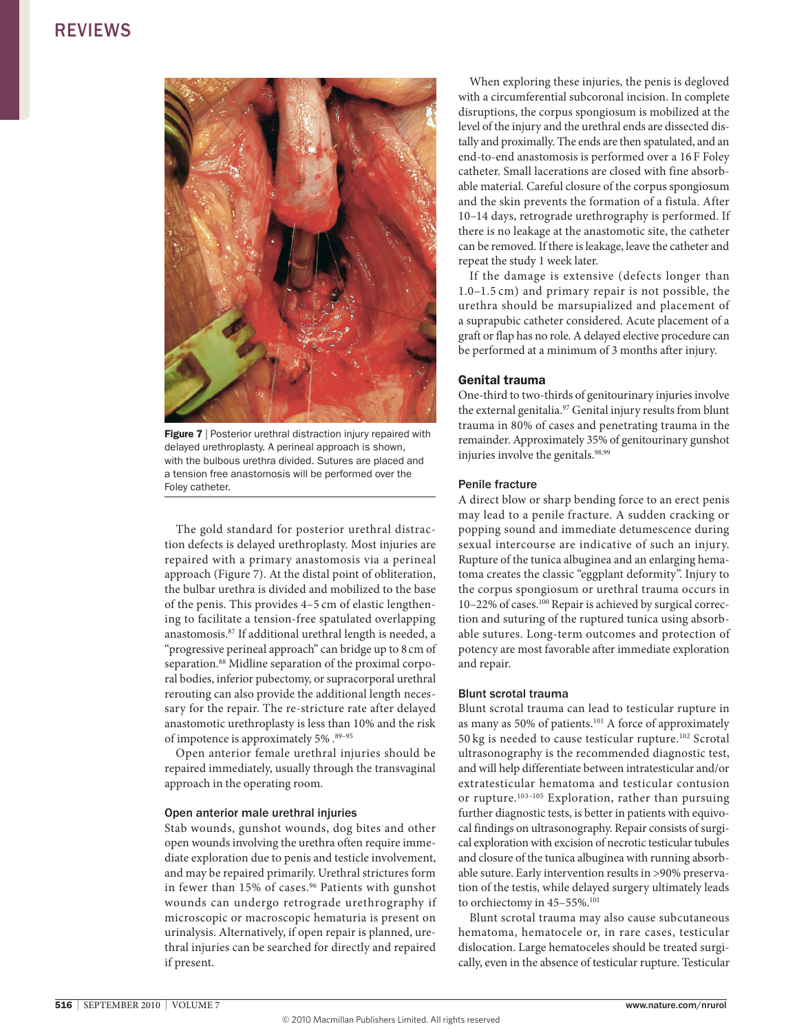

Figure 7 | Posterior urethral distraction injury repaired with delayed urethroplasty. A perineal approach is shown, with the bulbous urethra divided. Sutures are placed and a tension free anastomosis will be performed over the Foley catheter.

The gold standard for posterior urethral distraction defects is delayed urethroplasty. Most injuries are repaired with a primary anastomosis via a perineal approach (Figure 7). At the distal point of obliteration, the bulbar urethra is divided and mobilized to the base of the penis. This provides 4–5 cm of elastic lengthening to facilitate a tension-free spatulated overlapping anastomosis.87 If additional urethral length is needed, a "progressive perineal approach" can bridge up to 8cm of separation.<sup>88</sup> Midline separation of the proximal corporal bodies, inferior pubectomy, or supracorporal urethral rerouting can also provide the additional length necessary for the repair. The re-stricture rate after delayed anastomotic urethroplasty is less than 10% and the risk of impotence is approximately 5% .<sup>89-95</sup>

open anterior female urethral injuries should be repaired immediately, usually through the transvaginal approach in the operating room.

#### open anterior male urethral injuries

Stab wounds, gunshot wounds, dog bites and other open wounds involving the urethra often require immediate exploration due to penis and testicle involvement, and may be repaired primarily. Urethral strictures form in fewer than 15% of cases.<sup>96</sup> Patients with gunshot wounds can undergo retrograde urethrography if microscopic or macroscopic hematuria is present on urinalysis. Alternatively, if open repair is planned, urethral injuries can be searched for directly and repaired if present.

When exploring these injuries, the penis is degloved with a circumferential subcoronal incision. In complete disruptions, the corpus spongiosum is mobilized at the level of the injury and the urethral ends are dissected distally and proximally. The ends are then spatulated, and an end-to-end anastomosis is performed over a 16 F Foley catheter. Small lacerations are closed with fine absorbable material. Careful closure of the corpus spongiosum and the skin prevents the formation of a fistula. After 10–14 days, retrograde urethrography is performed. If there is no leakage at the anastomotic site, the catheter can be removed. If there is leakage, leave the catheter and repeat the study 1 week later.

If the damage is extensive (defects longer than 1.0–1.5 cm) and primary repair is not possible, the urethra should be marsupialized and placement of a suprapubic catheter considered. Acute placement of a graft or flap has no role. A delayed elective procedure can be performed at a minimum of 3 months after injury.

#### Genital trauma

one-third to two-thirds of genitourinary injuries involve the external genitalia.<sup>97</sup> Genital injury results from blunt trauma in 80% of cases and penetrating trauma in the remainder. Approximately 35% of genitourinary gunshot injuries involve the genitals.<sup>98,99</sup>

#### Penile fracture

A direct blow or sharp bending force to an erect penis may lead to a penile fracture. A sudden cracking or popping sound and immediate detumescence during sexual intercourse are indicative of such an injury. Rupture of the tunica albuginea and an enlarging hematoma creates the classic "eggplant deformity". Injury to the corpus spongiosum or urethral trauma occurs in 10–22% of cases.<sup>100</sup> Repair is achieved by surgical correction and suturing of the ruptured tunica using absorbable sutures. Long-term outcomes and protection of potency are most favorable after immediate exploration and repair.

#### Blunt scrotal trauma

Blunt scrotal trauma can lead to testicular rupture in as many as 50% of patients.101 A force of approximately 50 kg is needed to cause testicular rupture.102 Scrotal ultrasonography is the recommended diagnostic test, and will help differentiate between intratesticular and/or extratesticular hematoma and testicular contusion or rupture.<sup>103-105</sup> Exploration, rather than pursuing further diagnostic tests, is better in patients with equivocal findings on ultrasonography. Repair consists of surgical exploration with excision of necrotic testicular tubules and closure of the tunica albuginea with running absorbable suture. Early intervention results in >90% preservation of the testis, while delayed surgery ultimately leads to orchiectomy in 45-55%.<sup>101</sup>

Blunt scrotal trauma may also cause subcutaneous hematoma, hematocele or, in rare cases, testicular dislocation. Large hematoceles should be treated surgically, even in the absence of testicular rupture. Testicular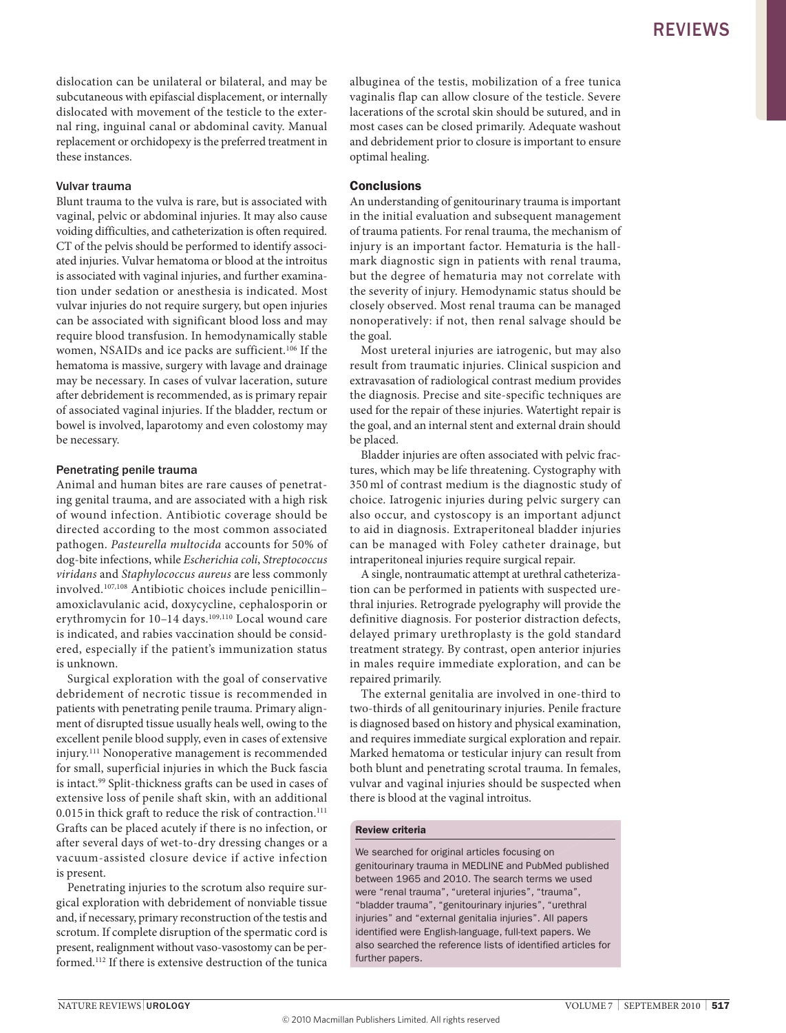dislocation can be unilateral or bilateral, and may be subcutaneous with epifascial displacement, or internally dislocated with movement of the testicle to the external ring, inguinal canal or abdominal cavity. Manual replacement or orchidopexy is the preferred treatment in these instances.

#### vulvar trauma

Blunt trauma to the vulva is rare, but is associated with vaginal, pelvic or abdominal injuries. It may also cause voiding difficulties, and catheterization is often required. CT of the pelvis should be performed to identify associated injuries. vulvar hematoma or blood at the introitus is associated with vaginal injuries, and further examination under sedation or anesthesia is indicated. Most vulvar injuries do not require surgery, but open injuries can be associated with significant blood loss and may require blood transfusion. In hemodynamically stable women, nSAIDs and ice packs are sufficient.106 If the hematoma is massive, surgery with lavage and drainage may be necessary. In cases of vulvar laceration, suture after debridement is recommended, as is primary repair of associated vaginal injuries. If the bladder, rectum or bowel is involved, laparotomy and even colostomy may be necessary.

#### Penetrating penile trauma

Animal and human bites are rare causes of penetrating genital trauma, and are associated with a high risk of wound infection. Antibiotic coverage should be directed according to the most common associated pathogen. *Pasteurella multocida* accounts for 50% of dog-bite infections, while *Escherichia coli*, *Streptococcus viridans* and *Staphylococcus aureus* are less commonly involved.107,108 Antibiotic choices include penicillin– amoxiclavulanic acid, doxycycline, cephalosporin or erythromycin for 10-14 days.<sup>109,110</sup> Local wound care is indicated, and rabies vaccination should be considered, especially if the patient's immunization status is unknown.

Surgical exploration with the goal of conservative debridement of necrotic tissue is recommended in patients with penetrating penile trauma. Primary alignment of disrupted tissue usually heals well, owing to the excellent penile blood supply, even in cases of extensive injury.<sup>111</sup> Nonoperative management is recommended for small, superficial injuries in which the Buck fascia is intact.<sup>99</sup> Split-thickness grafts can be used in cases of extensive loss of penile shaft skin, with an additional 0.015 in thick graft to reduce the risk of contraction.<sup>111</sup> Grafts can be placed acutely if there is no infection, or after several days of wet-to-dry dressing changes or a vacuum-assisted closure device if active infection is present.

Penetrating injuries to the scrotum also require surgical exploration with debridement of nonviable tissue and, if necessary, primary reconstruction of the testis and scrotum. If complete disruption of the spermatic cord is present, realignment without vaso-vasostomy can be performed.112 If there is extensive destruction of the tunica albuginea of the testis, mobilization of a free tunica vaginalis flap can allow closure of the testicle. Severe lacerations of the scrotal skin should be sutured, and in most cases can be closed primarily. Adequate washout and debridement prior to closure is important to ensure optimal healing.

#### **Conclusions**

An understanding of genitourinary trauma is important in the initial evaluation and subsequent management of trauma patients. For renal trauma, the mechanism of injury is an important factor. Hematuria is the hallmark diagnostic sign in patients with renal trauma, but the degree of hematuria may not correlate with the severity of injury. Hemodynamic status should be closely observed. Most renal trauma can be managed nonoperatively: if not, then renal salvage should be the goal.

Most ureteral injuries are iatrogenic, but may also result from traumatic injuries. Clinical suspicion and extravasation of radiological contrast medium provides the diagnosis. Precise and site-specific techniques are used for the repair of these injuries. Watertight repair is the goal, and an internal stent and external drain should be placed.

Bladder injuries are often associated with pelvic fractures, which may be life threatening. Cystography with 350 ml of contrast medium is the diagnostic study of choice. Iatrogenic injuries during pelvic surgery can also occur, and cystoscopy is an important adjunct to aid in diagnosis. Extraperitoneal bladder injuries can be managed with Foley catheter drainage, but intraperitoneal injuries require surgical repair.

A single, nontraumatic attempt at urethral catheterization can be performed in patients with suspected urethral injuries. Retrograde pyelography will provide the definitive diagnosis. For posterior distraction defects, delayed primary urethroplasty is the gold standard treatment strategy. By contrast, open anterior injuries in males require immediate exploration, and can be repaired primarily.

The external genitalia are involved in one-third to two-thirds of all genitourinary injuries. Penile fracture is diagnosed based on history and physical examination, and requires immediate surgical exploration and repair. Marked hematoma or testicular injury can result from both blunt and penetrating scrotal trauma. In females, vulvar and vaginal injuries should be suspected when there is blood at the vaginal introitus.

#### Review criteria

We searched for original articles focusing on genitourinary trauma in MEDLINE and PubMed published between 1965 and 2010. The search terms we used were "renal trauma", "ureteral injuries", "trauma", "bladder trauma", "genitourinary injuries", "urethral injuries" and "external genitalia injuries". All papers identified were English-language, full-text papers. We also searched the reference lists of identified articles for further papers.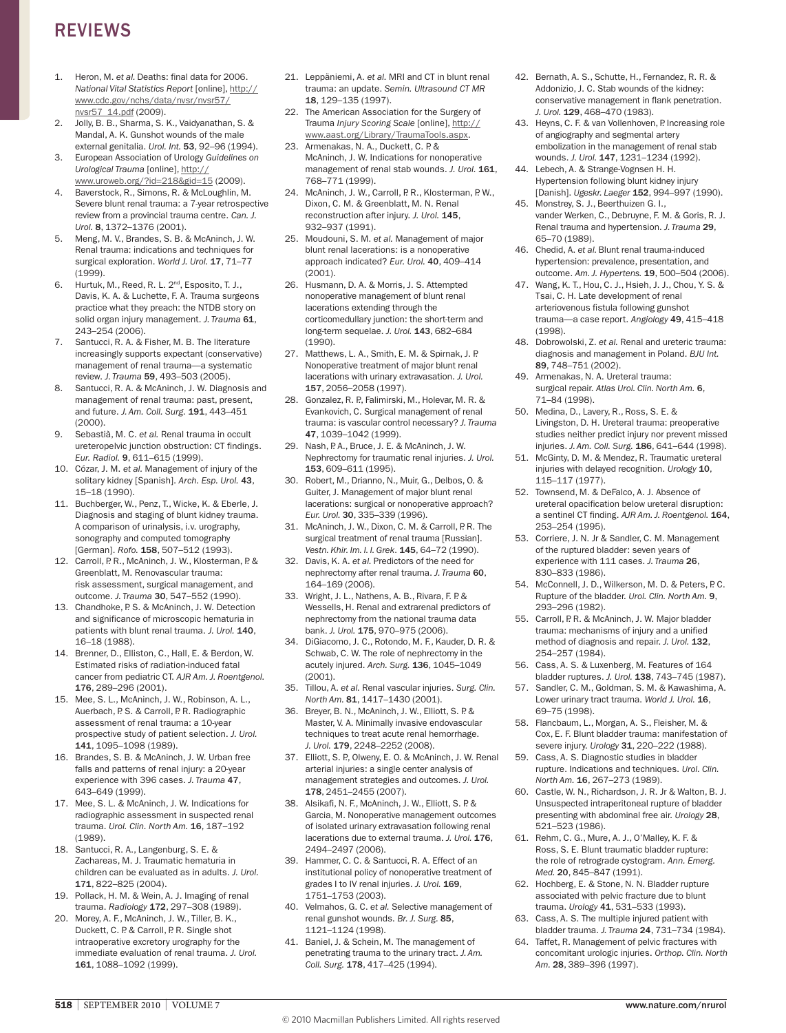- 1. Heron, M. *et al.* Deaths: final data for 2006. *National Vital Statistics Report* [online], [http://](http://www.cdc.gov/nchs/data/nvsr/nvsr57/nvsr57_14.pdf) [www.cdc.gov/nchs/data/nvsr/nvsr57/](http://www.cdc.gov/nchs/data/nvsr/nvsr57/nvsr57_14.pdf) [nvsr57\\_14.pdf](http://www.cdc.gov/nchs/data/nvsr/nvsr57/nvsr57_14.pdf) (2009).
- 2. Jolly, B. B., Sharma, S. K., vaidyanathan, S. & Mandal, A. K. Gunshot wounds of the male external genitalia. *Urol. Int.* 53, 92–96 (1994).
- 3. European Association of Urology *Guidelines on Urological Trauma* [online], [http://](http://www.uroweb.org/?id=218&gid=15)
- [www.uroweb.org/?id=218&gid=15](http://www.uroweb.org/?id=218&gid=15) (2009). 4. Baverstock, R., Simons, R. & McLoughlin, M. Severe blunt renal trauma: a 7-year retrospective review from a provincial trauma centre. *Can. J. Urol.* 8, 1372–1376 (2001).
- 5. Meng, M. v., Brandes, S. B. & McAninch, J. W. Renal trauma: indications and techniques for surgical exploration. World J. Urol. 17, 71-77 (1999).
- 6. Hurtuk, M., Reed, R. L. 2nd, Esposito, T. J., Davis, K. A. & Luchette, F. A. Trauma surgeons practice what they preach: the NTDB story on solid organ injury management. *J. Trauma* 61, 243–254 (2006).
- 7. Santucci, R. A. & Fisher, M. B. The literature increasingly supports expectant (conservative) management of renal trauma—a systematic review. *J. Trauma* 59, 493–503 (2005).
- 8. Santucci, R. A. & McAninch, J. W. Diagnosis and management of renal trauma: past, present, and future. *J. Am. Coll. Surg.* 191, 443–451 (2000).
- 9. Sebastià, M. C. *et al.* Renal trauma in occult ureteropelvic junction obstruction: CT findings. *Eur. Radiol.* 9, 611–615 (1999).
- 10. Cózar, J. M. *et al.* Management of injury of the solitary kidney [Spanish]. *Arch. Esp. Urol.* 43, 15–18 (1990).
- 11. Buchberger, W., Penz, T., Wicke, K. & Eberle, J. Diagnosis and staging of blunt kidney trauma. A comparison of urinalysis, i.v. urography, sonography and computed tomography [German]. *Rofo.* 158, 507–512 (1993).
- 12. Carroll, P. R., McAninch, J. W., Klosterman, P. & Greenblatt, M. Renovascular trauma: risk assessment, surgical management, and outcome. *J. Trauma* 30, 547–552 (1990).
- 13. Chandhoke, P. S. & McAninch, J. W. Detection and significance of microscopic hematuria in patients with blunt renal trauma. *J. Urol.* 140, 16–18 (1988).
- 14. Brenner, D., Elliston, C., Hall, E. & Berdon, W. Estimated risks of radiation-induced fatal cancer from pediatric CT. *AJR Am. J. Roentgenol.* 176, 289–296 (2001).
- 15. Mee, S. L., McAninch, J. W., Robinson, A. L., Auerbach, P. S. & Carroll, P. R. Radiographic assessment of renal trauma: a 10-year prospective study of patient selection. *J. Urol.* 141, 1095–1098 (1989).
- 16. Brandes, S. B. & McAninch, J. W. Urban free falls and patterns of renal injury: a 20-year experience with 396 cases. *J. Trauma* 47, 643–649 (1999).
- 17. Mee, S. L. & McAninch, J. W. Indications for radiographic assessment in suspected renal trauma. *Urol. Clin. North Am.* 16, 187–192 (1989).
- 18. Santucci, R. A., Langenburg, S. E. & Zachareas, M. J. Traumatic hematuria in children can be evaluated as in adults. *J. Urol.* 171, 822–825 (2004).
- 19. Pollack, H. M. & Wein, A. J. Imaging of renal trauma. *Radiology* 172, 297–308 (1989).
- 20. Morey, A. F., McAninch, J. W., Tiller, B. K., Duckett, C. P. & Carroll, P. R. Single shot intraoperative excretory urography for the immediate evaluation of renal trauma. *J. Urol.* 161, 1088–1092 (1999).
- 21. Leppäniemi, A. *et al.* MRI and CT in blunt renal trauma: an update. *Semin. Ultrasound CT MR* 18, 129–135 (1997).
- 22. The American Association for the Surgery of Trauma *Injury Scoring Scale* [online], [http://](http://www.aast.org/Library/TraumaTools.aspx) [www.aast.org/Library/TraumaTools.aspx.](http://www.aast.org/Library/TraumaTools.aspx)
- 23. Armenakas, N. A., Duckett, C. P. & McAninch, J. W. Indications for nonoperative management of renal stab wounds. *J. Urol.* 161, 768–771 (1999).
- 24. McAninch, J. W., Carroll, P. R., Klosterman, P. W., Dixon, C. M. & Greenblatt, M. N. Renal reconstruction after injury. *J. Urol.* 145, 932–937 (1991).
- 25. Moudouni, S. M. *et al.* Management of major blunt renal lacerations: is a nonoperative approach indicated? *Eur. Urol.* 40, 409–414 (2001).
- 26. Husmann, D. A. & Morris, J. S. Attempted nonoperative management of blunt renal lacerations extending through the corticomedullary junction: the short-term and long-term sequelae. *J. Urol.* 143, 682–684 (1990).
- 27. Matthews, L. A., Smith, E. M. & Spirnak, J. P. Nonoperative treatment of major blunt renal lacerations with urinary extravasation. *J. Urol.* 157, 2056–2058 (1997).
- 28. Gonzalez, R. P., Falimirski, M., Holevar, M. R. & Evankovich, C. Surgical management of renal trauma: is vascular control necessary? *J. Trauma* 47, 1039–1042 (1999).
- 29. Nash, P. A., Bruce, J. E. & McAninch, J. W. Nephrectomy for traumatic renal injuries. *J. Urol.* 153, 609–611 (1995).
- 30. Robert, M., Drianno, N., Muir, G., Delbos, O. & Guiter, J. Management of major blunt renal lacerations: surgical or nonoperative approach? *Eur. Urol.* 30, 335–339 (1996).
- 31. McAninch, J. W., Dixon, C. M. & Carroll, P. R. The surgical treatment of renal trauma [Russian]. *Vestn. Khir. Im. I. I. Grek*. 145, 64–72 (1990).
- 32. Davis, K. A. *et al.* Predictors of the need for nephrectomy after renal trauma. *J. Trauma* 60, 164–169 (2006).
- 33. Wright, J. L., Nathens, A. B., Rivara, F. P. & Wessells, H. Renal and extrarenal predictors of nephrectomy from the national trauma data bank. *J. Urol.* 175, 970–975 (2006).
- 34. DiGiacomo, J. C., Rotondo, M. F., Kauder, D. R. & Schwab, C. W. The role of nephrectomy in the acutely injured. *Arch. Surg.* 136, 1045–1049 (2001).
- 35. Tillou, A. *et al.* Renal vascular injuries. *Surg. Clin. North Am.* 81, 1417–1430 (2001).
- 36. Breyer, B. N., McAninch, J. W., Elliott, S. P. & Master, v. A. Minimally invasive endovascular techniques to treat acute renal hemorrhage. *J. Urol.* 179, 2248–2252 (2008).
- 37. Elliott, S. P., Olweny, E. O. & McAninch, J. W. Renal arterial injuries: a single center analysis of management strategies and outcomes. *J. Urol.* 178, 2451–2455 (2007).
- 38. Alsikafi, N. F., McAninch, J. W., Elliott, S. P. & Garcia, M. Nonoperative management outcomes of isolated urinary extravasation following renal lacerations due to external trauma. *J. Urol.* 176, 2494–2497 (2006).
- 39. Hammer, C. C. & Santucci, R. A. Effect of an institutional policy of nonoperative treatment of grades I to Iv renal injuries. *J. Urol.* 169, 1751–1753 (2003).
- 40. velmahos, G. C. *et al.* Selective management of renal gunshot wounds. *Br. J. Surg.* 85, 1121–1124 (1998).
- 41. Baniel, J. & Schein, M. The management of penetrating trauma to the urinary tract. *J. Am. Coll. Surg.* 178, 417–425 (1994).
- 42. Bernath, A. S., Schutte, H., Fernandez, R. R. & Addonizio, J. C. Stab wounds of the kidney: conservative management in flank penetration. *J. Urol.* 129, 468–470 (1983).
- 43. Heyns, C. F. & van Vollenhoven, P. Increasing role of angiography and segmental artery embolization in the management of renal stab wounds. *J. Urol.* 147, 1231–1234 (1992).
- 44. Lebech, A. & Strange-vognsen H. H. Hypertension following blunt kidney injury [Danish]. *Ugeskr. Laeger* 152, 994–997 (1990).
- 45. Monstrey, S. J., Beerthuizen G. I., vander Werken, C., Debruyne, F. M. & Goris, R. J. Renal trauma and hypertension. *J. Trauma* 29, 65–70 (1989).
- 46. Chedid, A. *et al.* Blunt renal trauma-induced hypertension: prevalence, presentation, and outcome. *Am. J. Hypertens.* 19, 500–504 (2006).
- 47. Wang, K. T., Hou, C. J., Hsieh, J. J., Chou, Y. S. & Tsai, C. H. Late development of renal arteriovenous fistula following gunshot trauma—a case report. *Angiology* 49, 415–418 (1998).
- 48. Dobrowolski, Z. *et al.* Renal and ureteric trauma: diagnosis and management in Poland. *BJU Int.* 89, 748–751 (2002).
- 49. Armenakas, N. A. Ureteral trauma: surgical repair. *Atlas Urol. Clin. North Am.* 6, 71–84 (1998).
- 50. Medina, D., Lavery, R., Ross, S. E. & Livingston, D. H. Ureteral trauma: preoperative studies neither predict injury nor prevent missed injuries. *J. Am. Coll. Surg.* 186, 641–644 (1998).
- 51. McGinty, D. M. & Mendez, R. Traumatic ureteral injuries with delayed recognition. *Urology* 10, 115–117 (1977).
- 52. Townsend, M. & DeFalco, A. J. Absence of ureteral opacification below ureteral disruption: a sentinel CT finding. *AJR Am. J. Roentgenol.* 164, 253–254 (1995).
- 53. Corriere, J. N. Jr & Sandler, C. M. Management of the ruptured bladder: seven years of experience with 111 cases. *J. Trauma* 26, 830–833 (1986).
- 54. McConnell, J. D., Wilkerson, M. D. & Peters, P.C. Rupture of the bladder. *Urol. Clin. North Am.* 9, 293–296 (1982).
- 55. Carroll, P. R. & McAninch, J. W. Major bladder trauma: mechanisms of injury and a unified method of diagnosis and repair. *J. Urol.* 132, 254–257 (1984).
- 56. Cass, A. S. & Luxenberg, M. Features of 164 bladder ruptures. *J. Urol.* 138, 743–745 (1987).
- 57. Sandler, C. M., Goldman, S. M. & Kawashima, A. Lower urinary tract trauma. *World J. Urol.* 16, 69–75 (1998).
- 58. Flancbaum, L., Morgan, A. S., Fleisher, M. & Cox, E. F. Blunt bladder trauma: manifestation of severe injury. *Urology* 31, 220–222 (1988).
- 59. Cass, A. S. Diagnostic studies in bladder rupture. Indications and techniques. *Urol. Clin. North Am.* 16, 267–273 (1989).
- 60. Castle, W. N., Richardson, J. R. Jr & Walton, B. J. Unsuspected intraperitoneal rupture of bladder presenting with abdominal free air. *Urology* 28, 521–523 (1986).
- 61. Rehm, C. G., Mure, A. J., O'Malley, K. F. & Ross, S. E. Blunt traumatic bladder rupture: the role of retrograde cystogram. *Ann. Emerg. Med.* 20, 845–847 (1991).
- 62. Hochberg, E. & Stone, N. N. Bladder rupture associated with pelvic fracture due to blunt trauma. *Urology* 41, 531–533 (1993).
- Cass, A. S. The multiple injured patient with bladder trauma. *J. Trauma* 24, 731–734 (1984).
- 64. Taffet, R. Management of pelvic fractures with concomitant urologic injuries. *Orthop. Clin. North Am.* 28, 389–396 (1997).